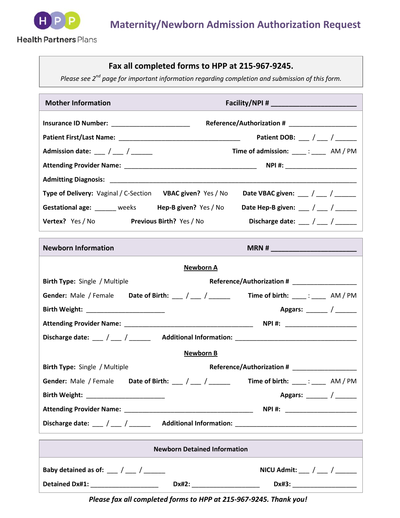

## **Fax all completed forms to HPP at 215-967-9245.**

*Please see 2nd page for important information regarding completion and submission of this form.*

| <b>Mother Information</b>                                                        |                                                                    |  |  |
|----------------------------------------------------------------------------------|--------------------------------------------------------------------|--|--|
|                                                                                  |                                                                    |  |  |
|                                                                                  | Patient DOB: $\frac{1}{2}$ / $\frac{1}{2}$ / $\frac{1}{2}$         |  |  |
| Admission date: $\frac{1}{2}$ / $\frac{1}{2}$ / $\frac{1}{2}$                    | Time of admission: _____: ______ AM / PM                           |  |  |
|                                                                                  |                                                                    |  |  |
|                                                                                  |                                                                    |  |  |
| Type of Delivery: Vaginal / C-Section VBAC given? Yes / No                       | Date VBAC given: ___ / ___ / ______                                |  |  |
| Gestational age: ______ weeks Hep-B given? Yes / No                              | Date Hep-B given: $\frac{1}{2}$ / $\frac{1}{2}$ / $\frac{1}{2}$    |  |  |
| Vertex? Yes / No Previous Birth? Yes / No                                        | Discharge date: $\frac{1}{2}$ / $\frac{1}{2}$ / $\frac{1}{2}$      |  |  |
| <b>Newborn Information</b>                                                       |                                                                    |  |  |
| <b>Newborn A</b>                                                                 |                                                                    |  |  |
| Birth Type: Single / Multiple                                                    |                                                                    |  |  |
| Gender: Male / Female Date of Birth: $\frac{1}{\sqrt{2}}$ / $\frac{1}{\sqrt{2}}$ | Time of birth: $\frac{1}{\sqrt{2}}$ : $\frac{1}{\sqrt{2}}$ AM / PM |  |  |
|                                                                                  | Apgars: _______ / ______                                           |  |  |
|                                                                                  | NPI #: ______________________                                      |  |  |
|                                                                                  |                                                                    |  |  |

## **Newborn B**

| <b>Birth Type:</b> Single / Multiple    |                                    | Reference/Authorization # ____________________    |
|-----------------------------------------|------------------------------------|---------------------------------------------------|
| <b>Gender:</b> Male / Female            | Date of Birth: ___ / ___ / ____ __ | Time of birth: $\qquad \qquad$ : $\qquad$ AM / PM |
| Birth Weight: _________________________ |                                    | Apgars: _______ / _______                         |
|                                         |                                    | NPI #: _____________________                      |
| Discharge date: / /                     | <b>Additional Information:</b>     |                                                   |

| <b>Newborn Detained Information</b> |       |                                           |  |
|-------------------------------------|-------|-------------------------------------------|--|
| Baby detained as of: / /            |       | NICU Admit: $\frac{1}{2}$ / $\frac{1}{2}$ |  |
| <b>Detained Dx#1:</b>               | Dx#2: | Dx#3:                                     |  |

*Please fax all completed forms to HPP at 215-967-9245. Thank you!*